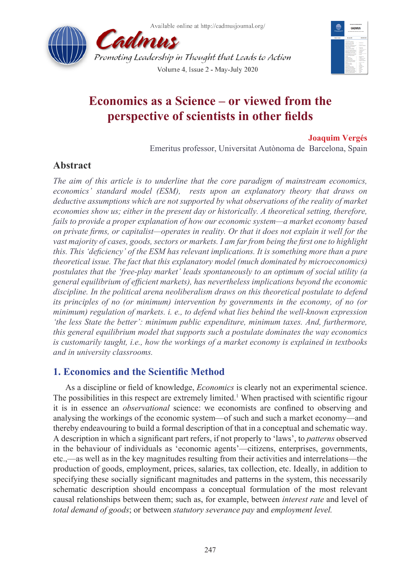



# **Economics as a Science – or viewed from the perspective of scientists in other fields**

### **Joaquim Vergés**

Emeritus professor, Universitat Autònoma de Barcelona, Spain

# **Abstract**

*The aim of this article is to underline that the core paradigm of mainstream economics, economics' standard model (ESM), rests upon an explanatory theory that draws on deductive assumptions which are not supported by what observations of the reality of market economies show us; either in the present day or historically. A theoretical setting, therefore, fails to provide a proper explanation of how our economic system—a market economy based on private firms, or capitalist—operates in reality. Or that it does not explain it well for the vast majority of cases, goods, sectors or markets. I am far from being the first one to highlight this. This 'deficiency' of the ESM has relevant implications. It is something more than a pure theoretical issue. The fact that this explanatory model (much dominated by microeconomics) postulates that the 'free-play market' leads spontaneously to an optimum of social utility (a general equilibrium of efficient markets), has nevertheless implications beyond the economic discipline. In the political arena neoliberalism draws on this theoretical postulate to defend its principles of no (or minimum) intervention by governments in the economy, of no (or minimum) regulation of markets. i. e., to defend what lies behind the well-known expression 'the less State the better': minimum public expenditure, minimum taxes. And, furthermore, this general equilibrium model that supports such a postulate dominates the way economics is customarily taught, i.e., how the workings of a market economy is explained in textbooks and in university classrooms.*

# **1. Economics and the Scientific Method**

As a discipline or field of knowledge, *Economics* is clearly not an experimental science. The possibilities in this respect are extremely limited.<sup>[1](#page-10-0)</sup> When practised with scientific rigour it is in essence an *observational* science: we economists are confined to observing and analysing the workings of the economic system—of such and such a market economy—and thereby endeavouring to build a formal description of that in a conceptual and schematic way. A description in which a significant part refers, if not properly to 'laws', to *patterns* observed in the behaviour of individuals as 'economic agents'—citizens, enterprises, governments, etc.,—as well as in the key magnitudes resulting from their activities and interrelations—the production of goods, employment, prices, salaries, tax collection, etc. Ideally, in addition to specifying these socially significant magnitudes and patterns in the system, this necessarily schematic description should encompass a conceptual formulation of the most relevant causal relationships between them; such as, for example, between *interest rate* and level of *total demand of goods*; or between *statutory severance pay* and *employment level.*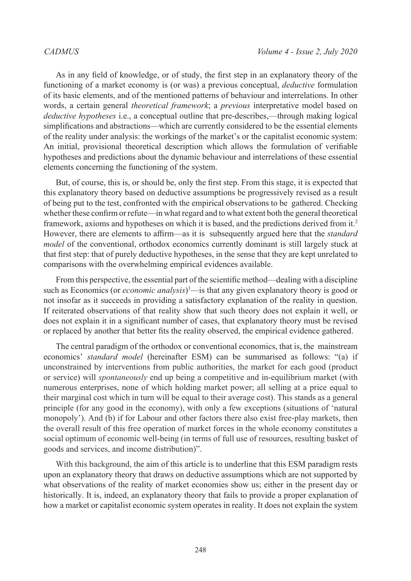As in any field of knowledge, or of study, the first step in an explanatory theory of the functioning of a market economy is (or was) a previous conceptual, *deductive* formulation of its basic elements, and of the mentioned patterns of behaviour and interrelations. In other words, a certain general *theoretical framework*; a *previous* interpretative model based on *deductive hypotheses* i.e., a conceptual outline that pre-describes,—through making logical simplifications and abstractions—which are currently considered to be the essential elements of the reality under analysis: the workings of the market's or the capitalist economic system: An initial, provisional theoretical description which allows the formulation of verifiable hypotheses and predictions about the dynamic behaviour and interrelations of these essential elements concerning the functioning of the system.

But, of course, this is, or should be, only the first step. From this stage, it is expected that this explanatory theory based on deductive assumptions be progressively revised as a result of being put to the test, confronted with the empirical observations to be gathered. Checking whether these confirm or refute—in what regard and to what extent both the general theoretical framework, axioms and hypotheses on which it is based, and the predictions derived from it.[2](#page-10-1) However, there are elements to affirm—as it is subsequently argued here that the *standard model* of the conventional, orthodox economics currently dominant is still largely stuck at that first step: that of purely deductive hypotheses, in the sense that they are kept unrelated to comparisons with the overwhelming empirical evidences available.

From this perspective, the essential part of the scientific method—dealing with a discipline such as Economics (or *economic analysis*) [3](#page-10-2) —is that any given explanatory theory is good or not insofar as it succeeds in providing a satisfactory explanation of the reality in question. If reiterated observations of that reality show that such theory does not explain it well, or does not explain it in a significant number of cases, that explanatory theory must be revised or replaced by another that better fits the reality observed, the empirical evidence gathered.

The central paradigm of the orthodox or conventional economics, that is, the mainstream economics' *standard model* (hereinafter ESM) can be summarised as follows: "(a) if unconstrained by interventions from public authorities, the market for each good (product or service) will *spontaneously* end up being a competitive and in-equilibrium market (with numerous enterprises, none of which holding market power; all selling at a price equal to their marginal cost which in turn will be equal to their average cost). This stands as a general principle (for any good in the economy), with only a few exceptions (situations of 'natural monopoly'). And (b) if for Labour and other factors there also exist free-play markets, then the overall result of this free operation of market forces in the whole economy constitutes a social optimum of economic well-being (in terms of full use of resources, resulting basket of goods and services, and income distribution)".

With this background, the aim of this article is to underline that this ESM paradigm rests upon an explanatory theory that draws on deductive assumptions which are not supported by what observations of the reality of market economies show us; either in the present day or historically. It is, indeed, an explanatory theory that fails to provide a proper explanation of how a market or capitalist economic system operates in reality. It does not explain the system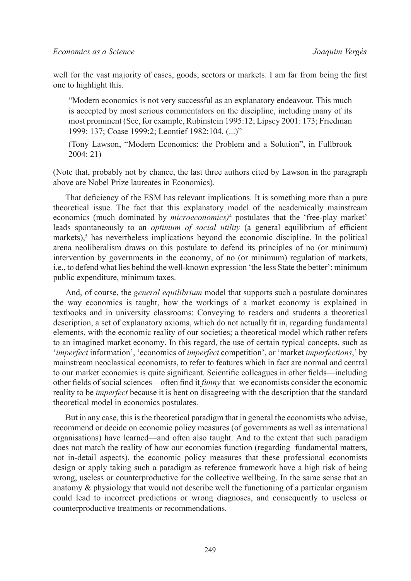well for the vast majority of cases, goods, sectors or markets. I am far from being the first one to highlight this.

"Modern economics is not very successful as an explanatory endeavour. This much is accepted by most serious commentators on the discipline, including many of its most prominent (See, for example, Rubinstein 1995:12; Lipsey 2001: 173; Friedman 1999: 137; Coase 1999:2; Leontief 1982:104. (...)"

(Tony Lawson, "Modern Economics: the Problem and a Solution", in Fullbrook 2004: 21)

(Note that, probably not by chance, the last three authors cited by Lawson in the paragraph above are Nobel Prize laureates in Economics).

That deficiency of the ESM has relevant implications. It is something more than a pure theoretical issue. The fact that this explanatory model of the academically mainstream economics (much dominated by *microeconomics)*[4](#page-10-3) postulates that the 'free-play market' leads spontaneously to an *optimum of social utility* (a general equilibrium of efficient markets), $5$  has nevertheless implications beyond the economic discipline. In the political arena neoliberalism draws on this postulate to defend its principles of no (or minimum) intervention by governments in the economy, of no (or minimum) regulation of markets, i.e., to defend what lies behind the well-known expression 'the less State the better': minimum public expenditure, minimum taxes.

And, of course, the *general equilibrium* model that supports such a postulate dominates the way economics is taught, how the workings of a market economy is explained in textbooks and in university classrooms: Conveying to readers and students a theoretical description, a set of explanatory axioms, which do not actually fit in, regarding fundamental elements, with the economic reality of our societies; a theoretical model which rather refers to an imagined market economy. In this regard, the use of certain typical concepts, such as '*imperfect* information', 'economics of *imperfect* competition', or 'market *imperfections*,' by mainstream neoclassical economists, to refer to features which in fact are normal and central to our market economies is quite significant. Scientific colleagues in other fields—including other fields of social sciences—often find it *funny* that we economists consider the economic reality to be *imperfect* because it is bent on disagreeing with the description that the standard theoretical model in economics postulates.

But in any case, this is the theoretical paradigm that in general the economists who advise, recommend or decide on economic policy measures (of governments as well as international organisations) have learned—and often also taught. And to the extent that such paradigm does not match the reality of how our economies function (regarding fundamental matters, not in-detail aspects), the economic policy measures that these professional economists design or apply taking such a paradigm as reference framework have a high risk of being wrong, useless or counterproductive for the collective wellbeing. In the same sense that an anatomy & physiology that would not describe well the functioning of a particular organism could lead to incorrect predictions or wrong diagnoses, and consequently to useless or counterproductive treatments or recommendations.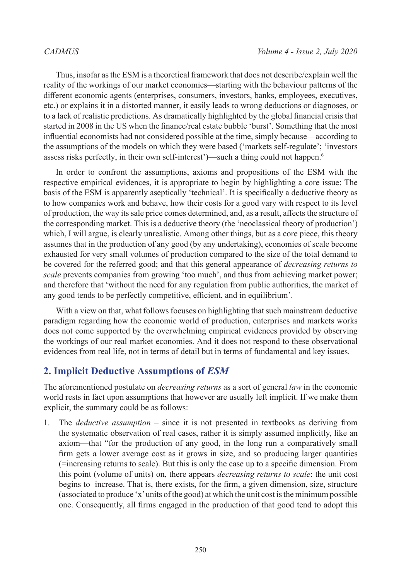Thus, insofar as the ESM is a theoretical framework that does not describe/explain well the reality of the workings of our market economies—starting with the behaviour patterns of the different economic agents (enterprises, consumers, investors, banks, employees, executives, etc.) or explains it in a distorted manner, it easily leads to wrong deductions or diagnoses, or to a lack of realistic predictions. As dramatically highlighted by the global financial crisis that started in 2008 in the US when the finance/real estate bubble 'burst'. Something that the most influential economists had not considered possible at the time, simply because—according to the assumptions of the models on which they were based ('markets self-regulate'; 'investors assess risks perfectly, in their own self-interest')—such a thing could not happen.[6](#page-10-5)

In order to confront the assumptions, axioms and propositions of the ESM with the respective empirical evidences, it is appropriate to begin by highlighting a core issue: The basis of the ESM is apparently aseptically 'technical'. It is specifically a deductive theory as to how companies work and behave, how their costs for a good vary with respect to its level of production, the way its sale price comes determined, and, as a result, affects the structure of the corresponding market. This is a deductive theory (the 'neoclassical theory of production') which, I will argue, is clearly unrealistic. Among other things, but as a core piece, this theory assumes that in the production of any good (by any undertaking), economies of scale become exhausted for very small volumes of production compared to the size of the total demand to be covered for the referred good; and that this general appearance of *decreasing returns to scale* prevents companies from growing 'too much', and thus from achieving market power; and therefore that 'without the need for any regulation from public authorities, the market of any good tends to be perfectly competitive, efficient, and in equilibrium'.

With a view on that, what follows focuses on highlighting that such mainstream deductive paradigm regarding how the economic world of production, enterprises and markets works does not come supported by the overwhelming empirical evidences provided by observing the workings of our real market economies. And it does not respond to these observational evidences from real life, not in terms of detail but in terms of fundamental and key issues.

# **2. Implicit Deductive Assumptions of** *ESM*

The aforementioned postulate on *decreasing returns* as a sort of general *law* in the economic world rests in fact upon assumptions that however are usually left implicit. If we make them explicit, the summary could be as follows:

1. The *deductive assumption* – since it is not presented in textbooks as deriving from the systematic observation of real cases, rather it is simply assumed implicitly, like an axiom—that "for the production of any good, in the long run a comparatively small firm gets a lower average cost as it grows in size, and so producing larger quantities (=increasing returns to scale). But this is only the case up to a specific dimension. From this point (volume of units) on, there appears *decreasing returns to scale*: the unit cost begins to increase. That is, there exists, for the firm, a given dimension, size, structure (associated to produce 'x' units of the good) at which the unit cost is the minimum possible one. Consequently, all firms engaged in the production of that good tend to adopt this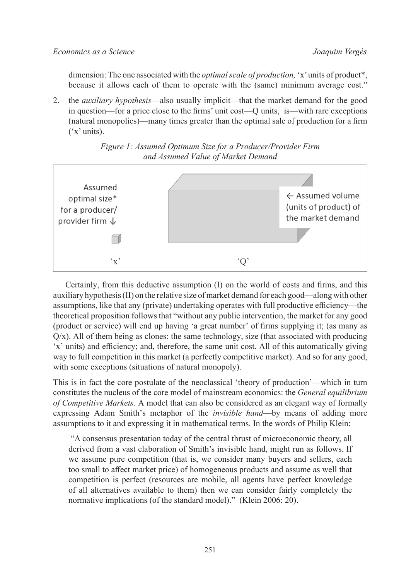dimension: The one associated with the *optimal scale of production,* 'x' units of product\*, because it allows each of them to operate with the (same) minimum average cost."

2. the *auxiliary hypothesis*—also usually implicit—that the market demand for the good in question—for a price close to the firms' unit cost—Q units, is—with rare exceptions (natural monopolies)—many times greater than the optimal sale of production for a firm ('x' units).





Certainly, from this deductive assumption (I) on the world of costs and firms, and this auxiliary hypothesis (II) on the relative size of market demand for each good—along with other assumptions, like that any (private) undertaking operates with full productive efficiency—the theoretical proposition follows that "without any public intervention, the market for any good (product or service) will end up having 'a great number' of firms supplying it; (as many as  $Q/x$ ). All of them being as clones: the same technology, size (that associated with producing 'x' units) and efficiency; and, therefore, the same unit cost. All of this automatically giving way to full competition in this market (a perfectly competitive market). And so for any good, with some exceptions (situations of natural monopoly).

This is in fact the core postulate of the neoclassical 'theory of production'—which in turn constitutes the nucleus of the core model of mainstream economics: the *General equilibrium of Competitive Markets*. A model that can also be considered as an elegant way of formally expressing Adam Smith's metaphor of the *invisible hand*—by means of adding more assumptions to it and expressing it in mathematical terms. In the words of Philip Klein:

 "A consensus presentation today of the central thrust of microeconomic theory, all derived from a vast elaboration of Smith's invisible hand, might run as follows. If we assume pure competition (that is, we consider many buyers and sellers, each too small to affect market price) of homogeneous products and assume as well that competition is perfect (resources are mobile, all agents have perfect knowledge of all alternatives available to them) then we can consider fairly completely the normative implications (of the standard model)." (Klein 2006: 20).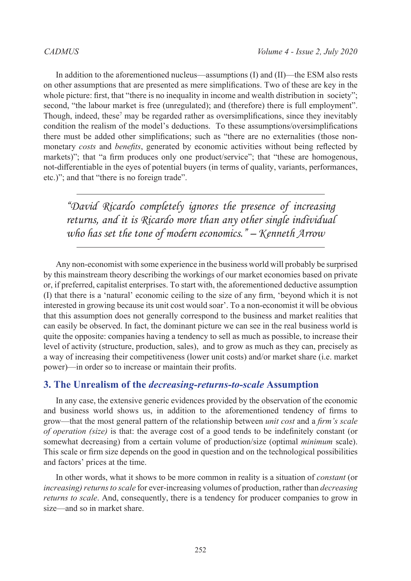In addition to the aforementioned nucleus—assumptions (I) and (II)—the ESM also rests on other assumptions that are presented as mere simplifications. Two of these are key in the whole picture: first, that "there is no inequality in income and wealth distribution in society"; second, "the labour market is free (unregulated); and (therefore) there is full employment". Though, indeed, these<sup>[7](#page-10-6)</sup> may be regarded rather as oversimplifications, since they inevitably condition the realism of the model's deductions. To these assumptions/oversimplifications there must be added other simplifications; such as "there are no externalities (those nonmonetary *costs* and *benefits*, generated by economic activities without being reflected by markets)"; that "a firm produces only one product/service"; that "these are homogenous, not-differentiable in the eyes of potential buyers (in terms of quality, variants, performances, etc.)"; and that "there is no foreign trade".

*"David Ricardo completely ignores the presence of increasing returns, and it is Ricardo more than any other single individual who has set the tone of modern economics." – Kenneth Arrow*

Any non-economist with some experience in the business world will probably be surprised by this mainstream theory describing the workings of our market economies based on private or, if preferred, capitalist enterprises. To start with, the aforementioned deductive assumption (I) that there is a 'natural' economic ceiling to the size of any firm, 'beyond which it is not interested in growing because its unit cost would soar'. To a non-economist it will be obvious that this assumption does not generally correspond to the business and market realities that can easily be observed. In fact, the dominant picture we can see in the real business world is quite the opposite: companies having a tendency to sell as much as possible, to increase their level of activity (structure, production, sales), and to grow as much as they can, precisely as a way of increasing their competitiveness (lower unit costs) and/or market share (i.e. market power)—in order so to increase or maintain their profits.

### **3. The Unrealism of the** *decreasing-returns-to-scale* **Assumption**

In any case, the extensive generic evidences provided by the observation of the economic and business world shows us, in addition to the aforementioned tendency of firms to grow—that the most general pattern of the relationship between *unit cost* and a *firm's scale of operation (size)* is that: the average cost of a good tends to be indefinitely constant (or somewhat decreasing) from a certain volume of production/size (optimal *minimum* scale). This scale or firm size depends on the good in question and on the technological possibilities and factors' prices at the time.

In other words, what it shows to be more common in reality is a situation of *constant* (or *increasing) returns to scale* for ever-increasing volumes of production, rather than *decreasing returns to scale*. And, consequently, there is a tendency for producer companies to grow in size—and so in market share.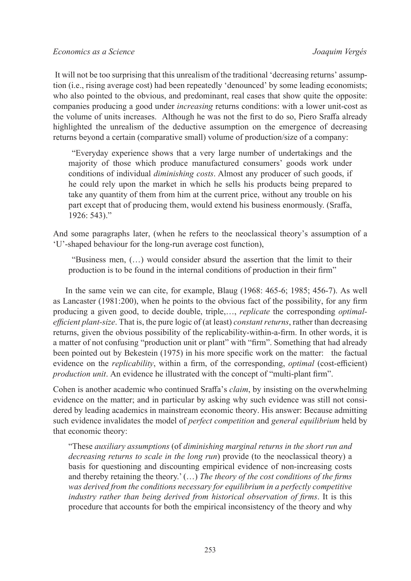It will not be too surprising that this unrealism of the traditional 'decreasing returns' assumption (i.e., rising average cost) had been repeatedly 'denounced' by some leading economists; who also pointed to the obvious, and predominant, real cases that show quite the opposite: companies producing a good under *increasing* returns conditions: with a lower unit-cost as the volume of units increases. Although he was not the first to do so, Piero Sraffa already highlighted the unrealism of the deductive assumption on the emergence of decreasing returns beyond a certain (comparative small) volume of production/size of a company:

 "Everyday experience shows that a very large number of undertakings and the majority of those which produce manufactured consumers' goods work under conditions of individual *diminishing costs*. Almost any producer of such goods, if he could rely upon the market in which he sells his products being prepared to take any quantity of them from him at the current price, without any trouble on his part except that of producing them, would extend his business enormously. (Sraffa, 1926: 543)."

And some paragraphs later, (when he refers to the neoclassical theory's assumption of a 'U'-shaped behaviour for the long-run average cost function),

 "Business men, (…) would consider absurd the assertion that the limit to their production is to be found in the internal conditions of production in their firm"

In the same vein we can cite, for example, Blaug (1968: 465-6; 1985; 456-7). As well as Lancaster (1981:200), when he points to the obvious fact of the possibility, for any firm producing a given good, to decide double, triple,…, *replicate* the corresponding *optimalefficient plant-size*. That is, the pure logic of (at least) *constant returns*, rather than decreasing returns, given the obvious possibility of the replicability-within-a-firm. In other words, it is a matter of not confusing "production unit or plant" with "firm". Something that had already been pointed out by Bekestein (1975) in his more specific work on the matter: the factual evidence on the *replicability*, within a firm, of the corresponding, *optimal* (cost-efficient) *production unit*. An evidence he illustrated with the concept of "multi-plant firm".

Cohen is another academic who continued Sraffa's *claim*, by insisting on the overwhelming evidence on the matter; and in particular by asking why such evidence was still not considered by leading academics in mainstream economic theory. His answer: Because admitting such evidence invalidates the model of *perfect competition* and *general equilibrium* held by that economic theory:

"These *auxiliary assumptions* (of *diminishing marginal returns in the short run and decreasing returns to scale in the long run*) provide (to the neoclassical theory) a basis for questioning and discounting empirical evidence of non-increasing costs and thereby retaining the theory.' (…) *The theory of the cost conditions of the firms was derived from the conditions necessary for equilibrium in a perfectly competitive industry rather than being derived from historical observation of firms*. It is this procedure that accounts for both the empirical inconsistency of the theory and why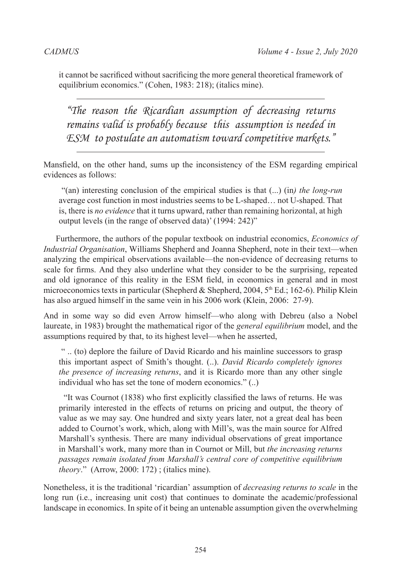it cannot be sacrificed without sacrificing the more general theoretical framework of equilibrium economics." (Cohen, 1983: 218); (italics mine).

*"The reason the Ricardian assumption of decreasing returns remains valid is probably because this assumption is needed in ESM to postulate an automatism toward competitive markets."* 

Mansfield, on the other hand, sums up the inconsistency of the ESM regarding empirical evidences as follows:

 "(an) interesting conclusion of the empirical studies is that (...) (in*) the long-run* average cost function in most industries seems to be L-shaped… not U-shaped. That is, there is *no evidence* that it turns upward, rather than remaining horizontal, at high output levels (in the range of observed data)' (1994: 242)"

Furthermore, the authors of the popular textbook on industrial economics, *Economics of Industrial Organisation*, Williams Shepherd and Joanna Shepherd, note in their text—when analyzing the empirical observations available—the non-evidence of decreasing returns to scale for firms. And they also underline what they consider to be the surprising, repeated and old ignorance of this reality in the ESM field, in economics in general and in most microeconomics texts in particular (Shepherd & Shepherd, 2004, 5<sup>th</sup> Ed.; 162-6). Philip Klein has also argued himself in the same vein in his 2006 work (Klein, 2006: 27-9).

And in some way so did even Arrow himself—who along with Debreu (also a Nobel laureate, in 1983) brought the mathematical rigor of the *general equilibrium* model, and the assumptions required by that, to its highest level—when he asserted,

 " .. (to) deplore the failure of David Ricardo and his mainline successors to grasp this important aspect of Smith's thought. (..). *David Ricardo completely ignores the presence of increasing returns*, and it is Ricardo more than any other single individual who has set the tone of modern economics." (..)

 "It was Cournot (1838) who first explicitly classified the laws of returns. He was primarily interested in the effects of returns on pricing and output, the theory of value as we may say. One hundred and sixty years later, not a great deal has been added to Cournot's work, which, along with Mill's, was the main source for Alfred Marshall's synthesis. There are many individual observations of great importance in Marshall's work, many more than in Cournot or Mill, but *the increasing returns passages remain isolated from Marshall's central core of competitive equilibrium theory*." (Arrow, 2000: 172) ; (italics mine).

Nonetheless, it is the traditional 'ricardian' assumption of *decreasing returns to scale* in the long run (i.e., increasing unit cost) that continues to dominate the academic/professional landscape in economics. In spite of it being an untenable assumption given the overwhelming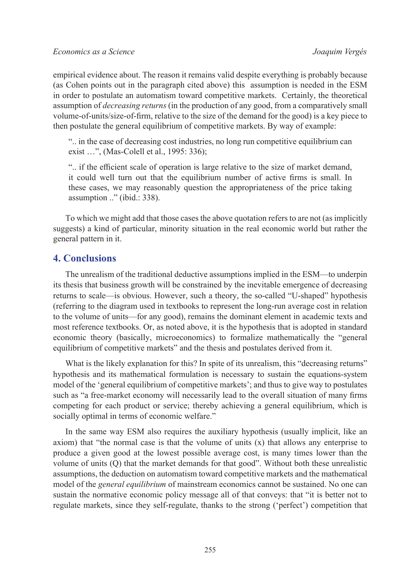empirical evidence about. The reason it remains valid despite everything is probably because (as Cohen points out in the paragraph cited above) this assumption is needed in the ESM in order to postulate an automatism toward competitive markets. Certainly, the theoretical assumption of *decreasing returns* (in the production of any good, from a comparatively small volume-of-units/size-of-firm, relative to the size of the demand for the good) is a key piece to then postulate the general equilibrium of competitive markets. By way of example:

".. in the case of decreasing cost industries, no long run competitive equilibrium can exist …", (Mas-Colell et al., 1995: 336);

".. if the efficient scale of operation is large relative to the size of market demand, it could well turn out that the equilibrium number of active firms is small. In these cases, we may reasonably question the appropriateness of the price taking assumption .." (ibid.: 338).

To which we might add that those cases the above quotation refers to are not (as implicitly suggests) a kind of particular, minority situation in the real economic world but rather the general pattern in it.

### **4. Conclusions**

The unrealism of the traditional deductive assumptions implied in the ESM—to underpin its thesis that business growth will be constrained by the inevitable emergence of decreasing returns to scale—is obvious. However, such a theory, the so-called "U-shaped" hypothesis (referring to the diagram used in textbooks to represent the long-run average cost in relation to the volume of units—for any good), remains the dominant element in academic texts and most reference textbooks. Or, as noted above, it is the hypothesis that is adopted in standard economic theory (basically, microeconomics) to formalize mathematically the "general equilibrium of competitive markets" and the thesis and postulates derived from it.

What is the likely explanation for this? In spite of its unrealism, this "decreasing returns" hypothesis and its mathematical formulation is necessary to sustain the equations-system model of the 'general equilibrium of competitive markets'; and thus to give way to postulates such as "a free-market economy will necessarily lead to the overall situation of many firms competing for each product or service; thereby achieving a general equilibrium, which is socially optimal in terms of economic welfare."

In the same way ESM also requires the auxiliary hypothesis (usually implicit, like an axiom) that "the normal case is that the volume of units  $(x)$  that allows any enterprise to produce a given good at the lowest possible average cost, is many times lower than the volume of units (Q) that the market demands for that good". Without both these unrealistic assumptions, the deduction on automatism toward competitive markets and the mathematical model of the *general equilibrium* of mainstream economics cannot be sustained. No one can sustain the normative economic policy message all of that conveys: that "it is better not to regulate markets, since they self-regulate, thanks to the strong ('perfect') competition that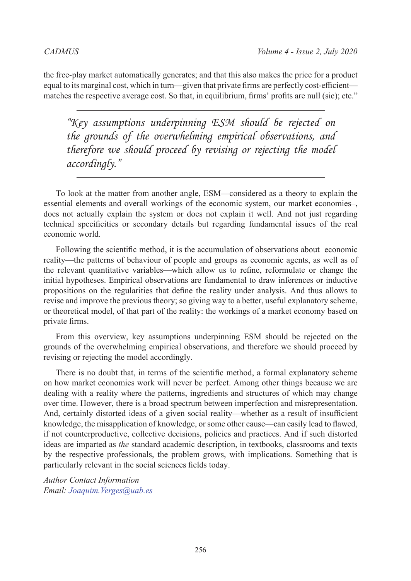the free-play market automatically generates; and that this also makes the price for a product equal to its marginal cost, which in turn—given that private firms are perfectly cost-efficient matches the respective average cost. So that, in equilibrium, firms' profits are null (sic); etc."

*"Key assumptions underpinning ESM should be rejected on the grounds of the overwhelming empirical observations, and therefore we should proceed by revising or rejecting the model accordingly."*

To look at the matter from another angle, ESM—considered as a theory to explain the essential elements and overall workings of the economic system, our market economies‒, does not actually explain the system or does not explain it well. And not just regarding technical specificities or secondary details but regarding fundamental issues of the real economic world.

Following the scientific method, it is the accumulation of observations about economic reality—the patterns of behaviour of people and groups as economic agents, as well as of the relevant quantitative variables—which allow us to refine, reformulate or change the initial hypotheses. Empirical observations are fundamental to draw inferences or inductive propositions on the regularities that define the reality under analysis. And thus allows to revise and improve the previous theory; so giving way to a better, useful explanatory scheme, or theoretical model, of that part of the reality: the workings of a market economy based on private firms.

From this overview, key assumptions underpinning ESM should be rejected on the grounds of the overwhelming empirical observations, and therefore we should proceed by revising or rejecting the model accordingly.

There is no doubt that, in terms of the scientific method, a formal explanatory scheme on how market economies work will never be perfect. Among other things because we are dealing with a reality where the patterns, ingredients and structures of which may change over time. However, there is a broad spectrum between imperfection and misrepresentation. And, certainly distorted ideas of a given social reality—whether as a result of insufficient knowledge, the misapplication of knowledge, or some other cause—can easily lead to flawed, if not counterproductive, collective decisions, policies and practices. And if such distorted ideas are imparted as *the* standard academic description, in textbooks, classrooms and texts by the respective professionals, the problem grows, with implications. Something that is particularly relevant in the social sciences fields today.

*Author Contact Information Email: [Joaquim.Verges@uab.es](mailto:Joaquim.Verges@uab.es)*